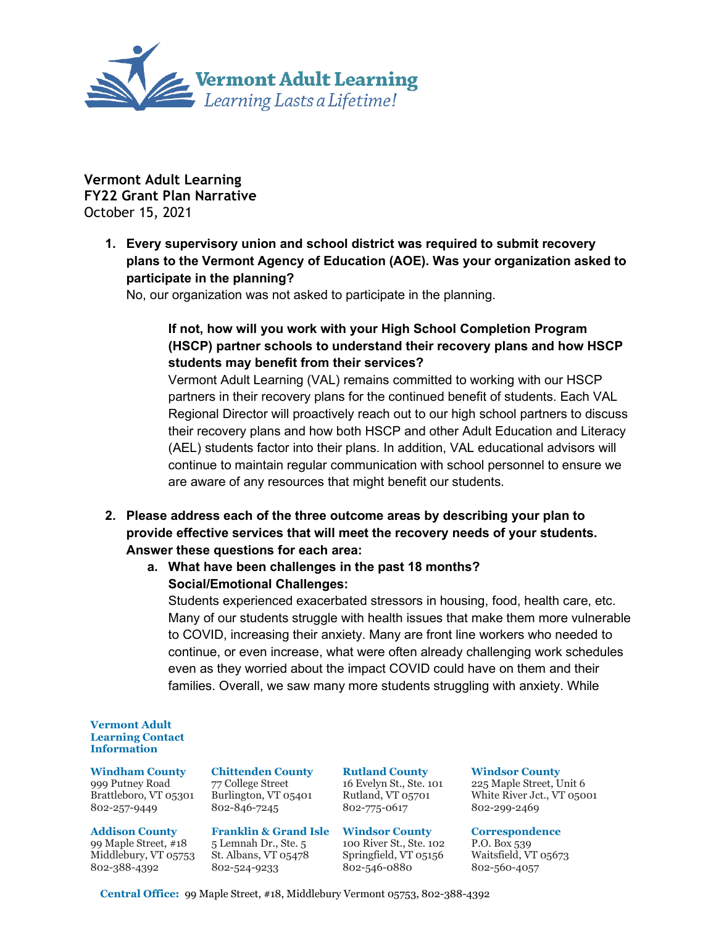

**Vermont Adult Learning FY22 Grant Plan Narrative** October 15, 2021

> **1. Every supervisory union and school district was required to submit recovery plans to the Vermont Agency of Education (AOE). Was your organization asked to participate in the planning?**

No, our organization was not asked to participate in the planning.

# **If not, how will you work with your High School Completion Program (HSCP) partner schools to understand their recovery plans and how HSCP students may benefit from their services?**

Vermont Adult Learning (VAL) remains committed to working with our HSCP partners in their recovery plans for the continued benefit of students. Each VAL Regional Director will proactively reach out to our high school partners to discuss their recovery plans and how both HSCP and other Adult Education and Literacy (AEL) students factor into their plans. In addition, VAL educational advisors will continue to maintain regular communication with school personnel to ensure we are aware of any resources that might benefit our students.

**2. Please address each of the three outcome areas by describing your plan to provide effective services that will meet the recovery needs of your students. Answer these questions for each area:**

# **a. What have been challenges in the past 18 months? Social/Emotional Challenges:**

Students experienced exacerbated stressors in housing, food, health care, etc. Many of our students struggle with health issues that make them more vulnerable to COVID, increasing their anxiety. Many are front line workers who needed to continue, or even increase, what were often already challenging work schedules even as they worried about the impact COVID could have on them and their families. Overall, we saw many more students struggling with anxiety. While

#### **Vermont Adult Learning Contact Information**

**Windham County** 999 Putney Road Brattleboro, VT 05301 802-257-9449

#### **Addison County** 99 Maple Street, #18 Middlebury, VT 05753 St. Albans, VT 05478 802-388-4392

**Chittenden County** 77 College Street Burlington, VT 05401 802-846-7245

### **Franklin & Grand Isle Windsor County**

5 Lemnah Dr., Ste. 5 802-524-9233

#### **Rutland County** 16 Evelyn St., Ste. 101 Rutland, VT 05701 802-775-0617

100 River St., Ste. 102 Springfield, VT 05156 802-546-0880

## **Windsor County**

225 Maple Street, Unit 6 White River Jct., VT 05001 802-299-2469

# **Correspondence**

P.O. Box 539 Waitsfield, VT 05673 802-560-4057

 **Central Office:** 99 Maple Street, #18, Middlebury Vermont 05753, 802-388-4392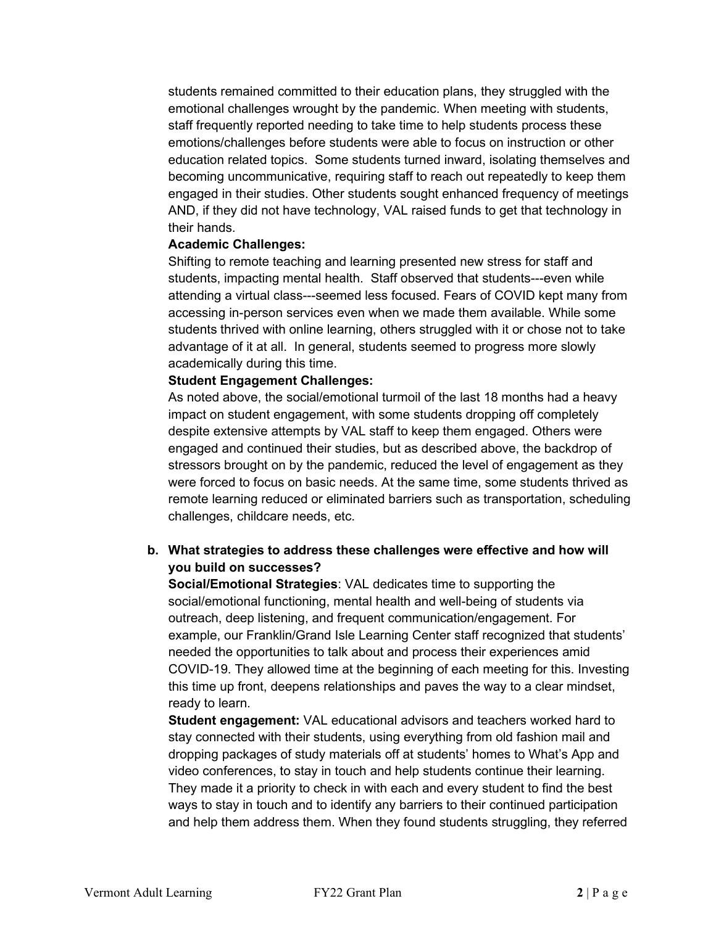students remained committed to their education plans, they struggled with the emotional challenges wrought by the pandemic. When meeting with students, staff frequently reported needing to take time to help students process these emotions/challenges before students were able to focus on instruction or other education related topics. Some students turned inward, isolating themselves and becoming uncommunicative, requiring staff to reach out repeatedly to keep them engaged in their studies. Other students sought enhanced frequency of meetings AND, if they did not have technology, VAL raised funds to get that technology in their hands.

### **Academic Challenges:**

Shifting to remote teaching and learning presented new stress for staff and students, impacting mental health. Staff observed that students---even while attending a virtual class---seemed less focused. Fears of COVID kept many from accessing in-person services even when we made them available. While some students thrived with online learning, others struggled with it or chose not to take advantage of it at all. In general, students seemed to progress more slowly academically during this time.

### **Student Engagement Challenges:**

As noted above, the social/emotional turmoil of the last 18 months had a heavy impact on student engagement, with some students dropping off completely despite extensive attempts by VAL staff to keep them engaged. Others were engaged and continued their studies, but as described above, the backdrop of stressors brought on by the pandemic, reduced the level of engagement as they were forced to focus on basic needs. At the same time, some students thrived as remote learning reduced or eliminated barriers such as transportation, scheduling challenges, childcare needs, etc.

# **b. What strategies to address these challenges were effective and how will you build on successes?**

**Social/Emotional Strategies**: VAL dedicates time to supporting the social/emotional functioning, mental health and well-being of students via outreach, deep listening, and frequent communication/engagement. For example, our Franklin/Grand Isle Learning Center staff recognized that students' needed the opportunities to talk about and process their experiences amid COVID-19. They allowed time at the beginning of each meeting for this. Investing this time up front, deepens relationships and paves the way to a clear mindset, ready to learn.

**Student engagement:** VAL educational advisors and teachers worked hard to stay connected with their students, using everything from old fashion mail and dropping packages of study materials off at students' homes to What's App and video conferences, to stay in touch and help students continue their learning. They made it a priority to check in with each and every student to find the best ways to stay in touch and to identify any barriers to their continued participation and help them address them. When they found students struggling, they referred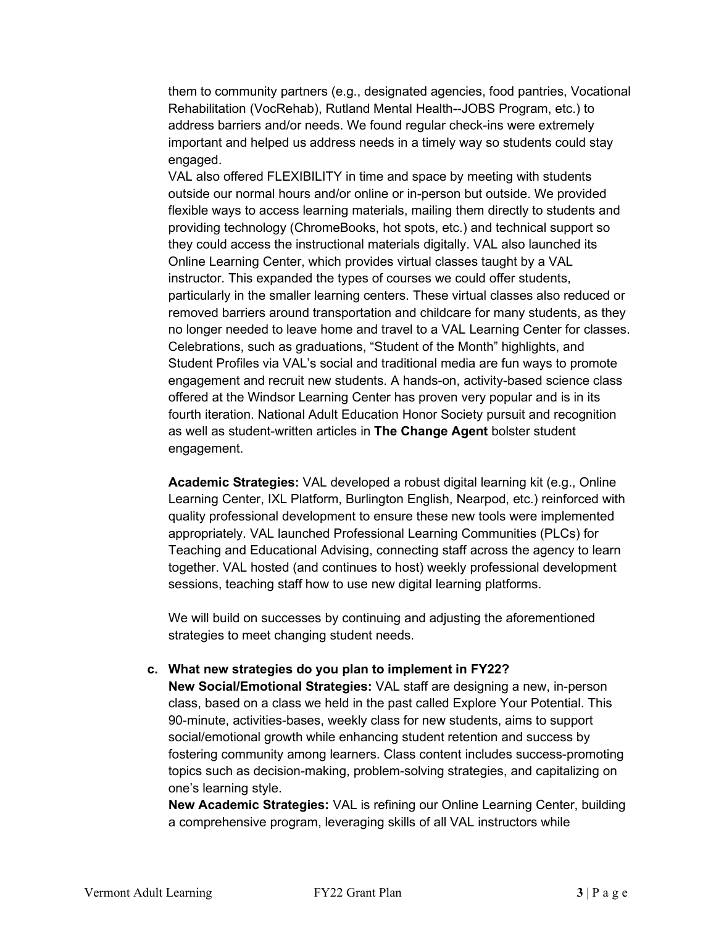them to community partners (e.g., designated agencies, food pantries, Vocational Rehabilitation (VocRehab), Rutland Mental Health--JOBS Program, etc.) to address barriers and/or needs. We found regular check-ins were extremely important and helped us address needs in a timely way so students could stay engaged.

VAL also offered FLEXIBILITY in time and space by meeting with students outside our normal hours and/or online or in-person but outside. We provided flexible ways to access learning materials, mailing them directly to students and providing technology (ChromeBooks, hot spots, etc.) and technical support so they could access the instructional materials digitally. VAL also launched its Online Learning Center, which provides virtual classes taught by a VAL instructor. This expanded the types of courses we could offer students, particularly in the smaller learning centers. These virtual classes also reduced or removed barriers around transportation and childcare for many students, as they no longer needed to leave home and travel to a VAL Learning Center for classes. Celebrations, such as graduations, "Student of the Month" highlights, and Student Profiles via VAL's social and traditional media are fun ways to promote engagement and recruit new students. A hands-on, activity-based science class offered at the Windsor Learning Center has proven very popular and is in its fourth iteration. National Adult Education Honor Society pursuit and recognition as well as student-written articles in **The Change Agent** bolster student engagement.

**Academic Strategies:** VAL developed a robust digital learning kit (e.g., Online Learning Center, IXL Platform, Burlington English, Nearpod, etc.) reinforced with quality professional development to ensure these new tools were implemented appropriately. VAL launched Professional Learning Communities (PLCs) for Teaching and Educational Advising, connecting staff across the agency to learn together. VAL hosted (and continues to host) weekly professional development sessions, teaching staff how to use new digital learning platforms.

We will build on successes by continuing and adjusting the aforementioned strategies to meet changing student needs.

## **c. What new strategies do you plan to implement in FY22?**

**New Social/Emotional Strategies:** VAL staff are designing a new, in-person class, based on a class we held in the past called Explore Your Potential. This 90-minute, activities-bases, weekly class for new students, aims to support social/emotional growth while enhancing student retention and success by fostering community among learners. Class content includes success-promoting topics such as decision-making, problem-solving strategies, and capitalizing on one's learning style.

**New Academic Strategies:** VAL is refining our Online Learning Center, building a comprehensive program, leveraging skills of all VAL instructors while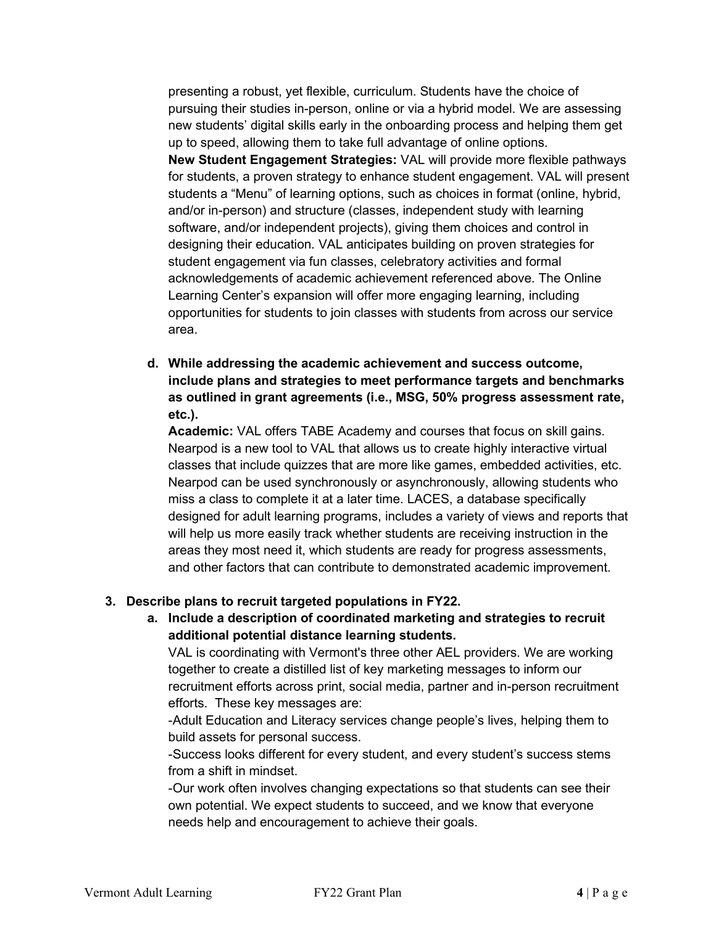presenting a robust, yet flexible, curriculum. Students have the choice of pursuing their studies in-person, online or via a hybrid model. We are assessing new students' digital skills early in the onboarding process and helping them get up to speed, allowing them to take full advantage of online options.

**New Student Engagement Strategies:** VAL will provide more flexible pathways for students, a proven strategy to enhance student engagement. VAL will present students a "Menu" of learning options, such as choices in format (online, hybrid, and/or in-person) and structure (classes, independent study with learning software, and/or independent projects), giving them choices and control in designing their education. VAL anticipates building on proven strategies for student engagement via fun classes, celebratory activities and formal acknowledgements of academic achievement referenced above. The Online Learning Center's expansion will offer more engaging learning, including opportunities for students to join classes with students from across our service area.

**d. While addressing the academic achievement and success outcome, include plans and strategies to meet performance targets and benchmarks as outlined in grant agreements (i.e., MSG, 50% progress assessment rate, etc.).**

**Academic:** VAL offers TABE Academy and courses that focus on skill gains. Nearpod is a new tool to VAL that allows us to create highly interactive virtual classes that include quizzes that are more like games, embedded activities, etc. Nearpod can be used synchronously or asynchronously, allowing students who miss a class to complete it at a later time. LACES, a database specifically designed for adult learning programs, includes a variety of views and reports that will help us more easily track whether students are receiving instruction in the areas they most need it, which students are ready for progress assessments, and other factors that can contribute to demonstrated academic improvement.

# **3. Describe plans to recruit targeted populations in FY22.**

**a. Include a description of coordinated marketing and strategies to recruit additional potential distance learning students.** 

VAL is coordinating with Vermont's three other AEL providers. We are working together to create a distilled list of key marketing messages to inform our recruitment efforts across print, social media, partner and in-person recruitment efforts. These key messages are:

-Adult Education and Literacy services change people's lives, helping them to build assets for personal success.

-Success looks different for every student, and every student's success stems from a shift in mindset.

-Our work often involves changing expectations so that students can see their own potential. We expect students to succeed, and we know that everyone needs help and encouragement to achieve their goals.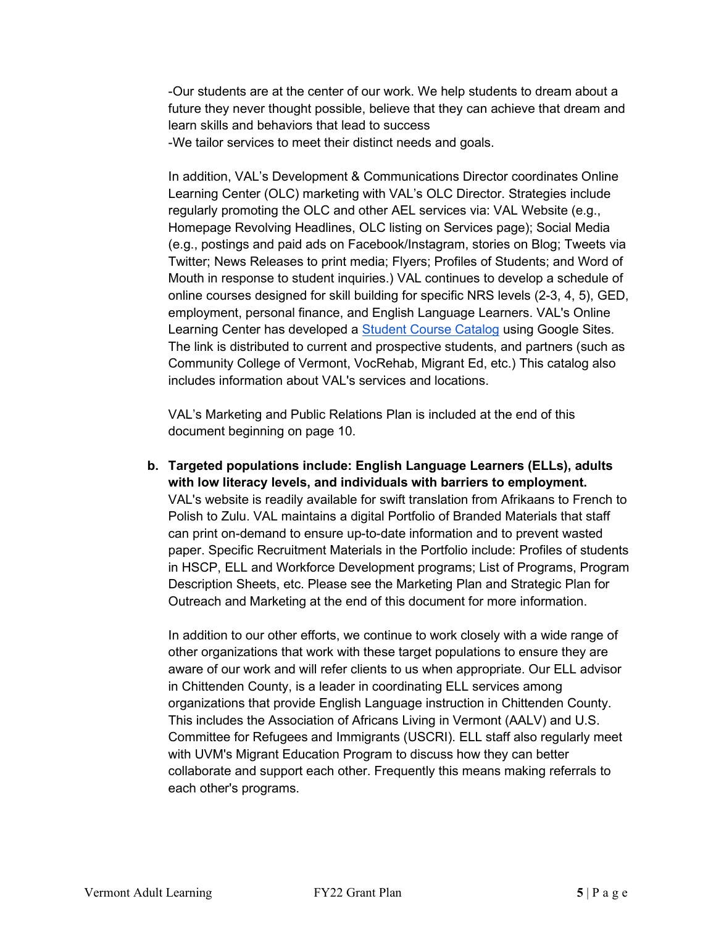-Our students are at the center of our work. We help students to dream about a future they never thought possible, believe that they can achieve that dream and learn skills and behaviors that lead to success -We tailor services to meet their distinct needs and goals.

In addition, VAL's Development & Communications Director coordinates Online Learning Center (OLC) marketing with VAL's OLC Director. Strategies include regularly promoting the OLC and other AEL services via: VAL Website (e.g., Homepage Revolving Headlines, OLC listing on Services page); Social Media (e.g., postings and paid ads on Facebook/Instagram, stories on Blog; Tweets via Twitter; News Releases to print media; Flyers; Profiles of Students; and Word of Mouth in response to student inquiries.) VAL continues to develop a schedule of online courses designed for skill building for specific NRS levels (2-3, 4, 5), GED, employment, personal finance, and English Language Learners. VAL's Online Learning Center has developed a [Student Course Catalog](https://sites.google.com/vtadultlearning.org/course-catalog) using Google Sites. The link is distributed to current and prospective students, and partners (such as Community College of Vermont, VocRehab, Migrant Ed, etc.) This catalog also includes information about VAL's services and locations.

VAL's Marketing and Public Relations Plan is included at the end of this document beginning on page 10.

**b. Targeted populations include: English Language Learners (ELLs), adults with low literacy levels, and individuals with barriers to employment.** VAL's website is readily available for swift translation from Afrikaans to French to Polish to Zulu. VAL maintains a digital Portfolio of Branded Materials that staff can print on-demand to ensure up-to-date information and to prevent wasted paper. Specific Recruitment Materials in the Portfolio include: Profiles of students in HSCP, ELL and Workforce Development programs; List of Programs, Program Description Sheets, etc. Please see the Marketing Plan and Strategic Plan for Outreach and Marketing at the end of this document for more information.

In addition to our other efforts, we continue to work closely with a wide range of other organizations that work with these target populations to ensure they are aware of our work and will refer clients to us when appropriate. Our ELL advisor in Chittenden County, is a leader in coordinating ELL services among organizations that provide English Language instruction in Chittenden County. This includes the Association of Africans Living in Vermont (AALV) and U.S. Committee for Refugees and Immigrants (USCRI). ELL staff also regularly meet with UVM's Migrant Education Program to discuss how they can better collaborate and support each other. Frequently this means making referrals to each other's programs.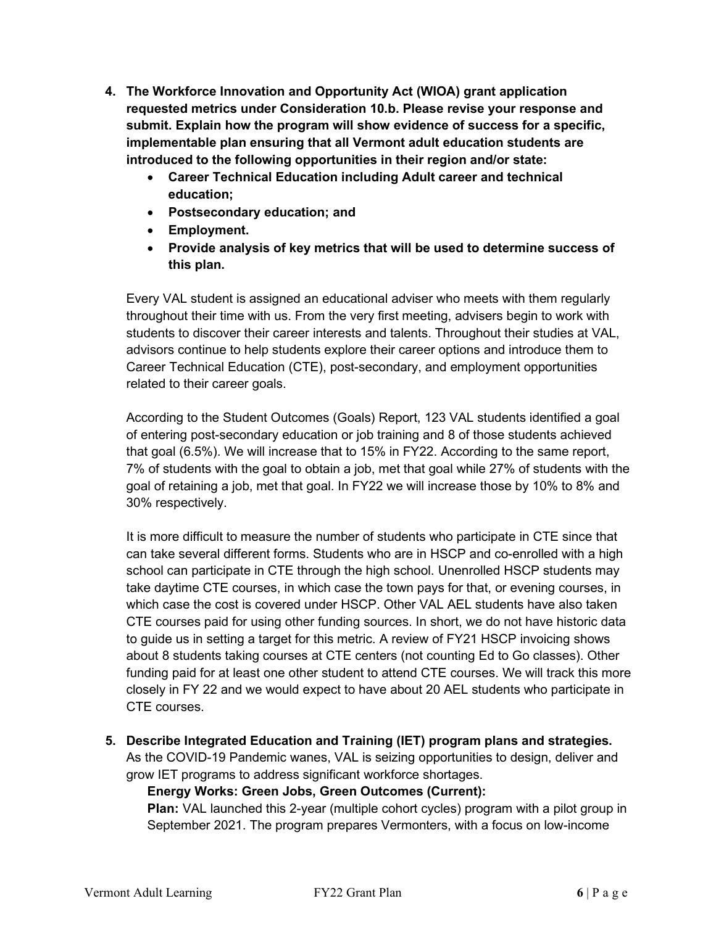- **4. The Workforce Innovation and Opportunity Act (WIOA) grant application requested metrics under Consideration 10.b. Please revise your response and submit. Explain how the program will show evidence of success for a specific, implementable plan ensuring that all Vermont adult education students are introduced to the following opportunities in their region and/or state:**
	- **Career Technical Education including Adult career and technical education;**
	- **Postsecondary education; and**
	- **Employment.**
	- **Provide analysis of key metrics that will be used to determine success of this plan.**

Every VAL student is assigned an educational adviser who meets with them regularly throughout their time with us. From the very first meeting, advisers begin to work with students to discover their career interests and talents. Throughout their studies at VAL, advisors continue to help students explore their career options and introduce them to Career Technical Education (CTE), post-secondary, and employment opportunities related to their career goals.

According to the Student Outcomes (Goals) Report, 123 VAL students identified a goal of entering post-secondary education or job training and 8 of those students achieved that goal (6.5%). We will increase that to 15% in FY22. According to the same report, 7% of students with the goal to obtain a job, met that goal while 27% of students with the goal of retaining a job, met that goal. In FY22 we will increase those by 10% to 8% and 30% respectively.

It is more difficult to measure the number of students who participate in CTE since that can take several different forms. Students who are in HSCP and co-enrolled with a high school can participate in CTE through the high school. Unenrolled HSCP students may take daytime CTE courses, in which case the town pays for that, or evening courses, in which case the cost is covered under HSCP. Other VAL AEL students have also taken CTE courses paid for using other funding sources. In short, we do not have historic data to guide us in setting a target for this metric. A review of FY21 HSCP invoicing shows about 8 students taking courses at CTE centers (not counting Ed to Go classes). Other funding paid for at least one other student to attend CTE courses. We will track this more closely in FY 22 and we would expect to have about 20 AEL students who participate in CTE courses.

**5. Describe Integrated Education and Training (IET) program plans and strategies.** 

As the COVID-19 Pandemic wanes, VAL is seizing opportunities to design, deliver and grow IET programs to address significant workforce shortages.

**Energy Works: Green Jobs, Green Outcomes (Current):**

**Plan:** VAL launched this 2-year (multiple cohort cycles) program with a pilot group in September 2021. The program prepares Vermonters, with a focus on low-income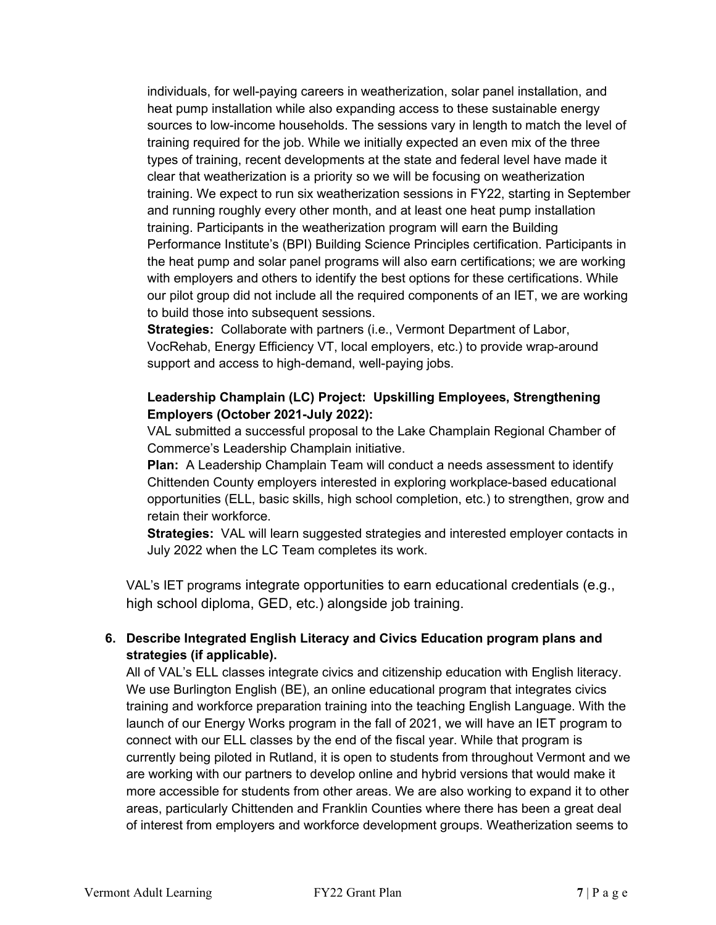individuals, for well-paying careers in weatherization, solar panel installation, and heat pump installation while also expanding access to these sustainable energy sources to low-income households. The sessions vary in length to match the level of training required for the job. While we initially expected an even mix of the three types of training, recent developments at the state and federal level have made it clear that weatherization is a priority so we will be focusing on weatherization training. We expect to run six weatherization sessions in FY22, starting in September and running roughly every other month, and at least one heat pump installation training. Participants in the weatherization program will earn the Building Performance Institute's (BPI) Building Science Principles certification. Participants in the heat pump and solar panel programs will also earn certifications; we are working with employers and others to identify the best options for these certifications. While our pilot group did not include all the required components of an IET, we are working to build those into subsequent sessions.

**Strategies:** Collaborate with partners (i.e., Vermont Department of Labor, VocRehab, Energy Efficiency VT, local employers, etc.) to provide wrap-around support and access to high-demand, well-paying jobs.

# **Leadership Champlain (LC) Project: Upskilling Employees, Strengthening Employers (October 2021-July 2022):**

VAL submitted a successful proposal to the Lake Champlain Regional Chamber of Commerce's Leadership Champlain initiative.

**Plan:** A Leadership Champlain Team will conduct a needs assessment to identify Chittenden County employers interested in exploring workplace-based educational opportunities (ELL, basic skills, high school completion, etc.) to strengthen, grow and retain their workforce.

**Strategies:** VAL will learn suggested strategies and interested employer contacts in July 2022 when the LC Team completes its work.

VAL's IET programs integrate opportunities to earn educational credentials (e.g., high school diploma, GED, etc.) alongside job training.

# **6. Describe Integrated English Literacy and Civics Education program plans and strategies (if applicable).**

All of VAL's ELL classes integrate civics and citizenship education with English literacy. We use Burlington English (BE), an online educational program that integrates civics training and workforce preparation training into the teaching English Language. With the launch of our Energy Works program in the fall of 2021, we will have an IET program to connect with our ELL classes by the end of the fiscal year. While that program is currently being piloted in Rutland, it is open to students from throughout Vermont and we are working with our partners to develop online and hybrid versions that would make it more accessible for students from other areas. We are also working to expand it to other areas, particularly Chittenden and Franklin Counties where there has been a great deal of interest from employers and workforce development groups. Weatherization seems to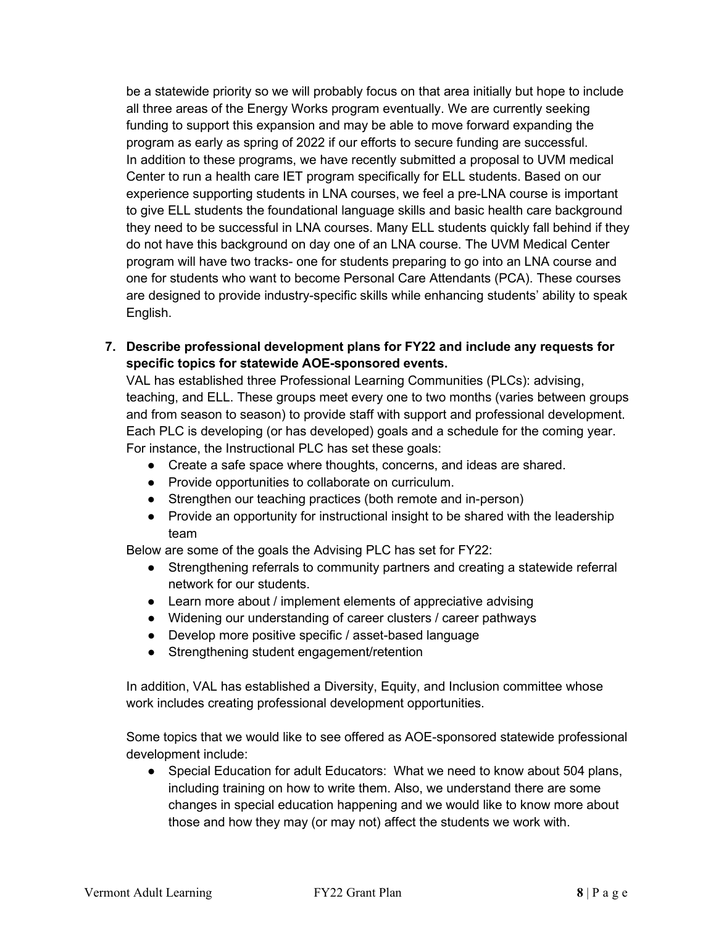be a statewide priority so we will probably focus on that area initially but hope to include all three areas of the Energy Works program eventually. We are currently seeking funding to support this expansion and may be able to move forward expanding the program as early as spring of 2022 if our efforts to secure funding are successful. In addition to these programs, we have recently submitted a proposal to UVM medical Center to run a health care IET program specifically for ELL students. Based on our experience supporting students in LNA courses, we feel a pre-LNA course is important to give ELL students the foundational language skills and basic health care background they need to be successful in LNA courses. Many ELL students quickly fall behind if they do not have this background on day one of an LNA course. The UVM Medical Center program will have two tracks- one for students preparing to go into an LNA course and one for students who want to become Personal Care Attendants (PCA). These courses are designed to provide industry-specific skills while enhancing students' ability to speak English.

**7. Describe professional development plans for FY22 and include any requests for specific topics for statewide AOE-sponsored events.**

VAL has established three Professional Learning Communities (PLCs): advising, teaching, and ELL. These groups meet every one to two months (varies between groups and from season to season) to provide staff with support and professional development. Each PLC is developing (or has developed) goals and a schedule for the coming year. For instance, the Instructional PLC has set these goals:

- Create a safe space where thoughts, concerns, and ideas are shared.
- Provide opportunities to collaborate on curriculum.
- Strengthen our teaching practices (both remote and in-person)
- Provide an opportunity for instructional insight to be shared with the leadership team

Below are some of the goals the Advising PLC has set for FY22:

- Strengthening referrals to community partners and creating a statewide referral network for our students.
- Learn more about / implement elements of appreciative advising
- Widening our understanding of career clusters / career pathways
- Develop more positive specific / asset-based language
- Strengthening student engagement/retention

In addition, VAL has established a Diversity, Equity, and Inclusion committee whose work includes creating professional development opportunities.

Some topics that we would like to see offered as AOE-sponsored statewide professional development include:

● Special Education for adult Educators: What we need to know about 504 plans, including training on how to write them. Also, we understand there are some changes in special education happening and we would like to know more about those and how they may (or may not) affect the students we work with.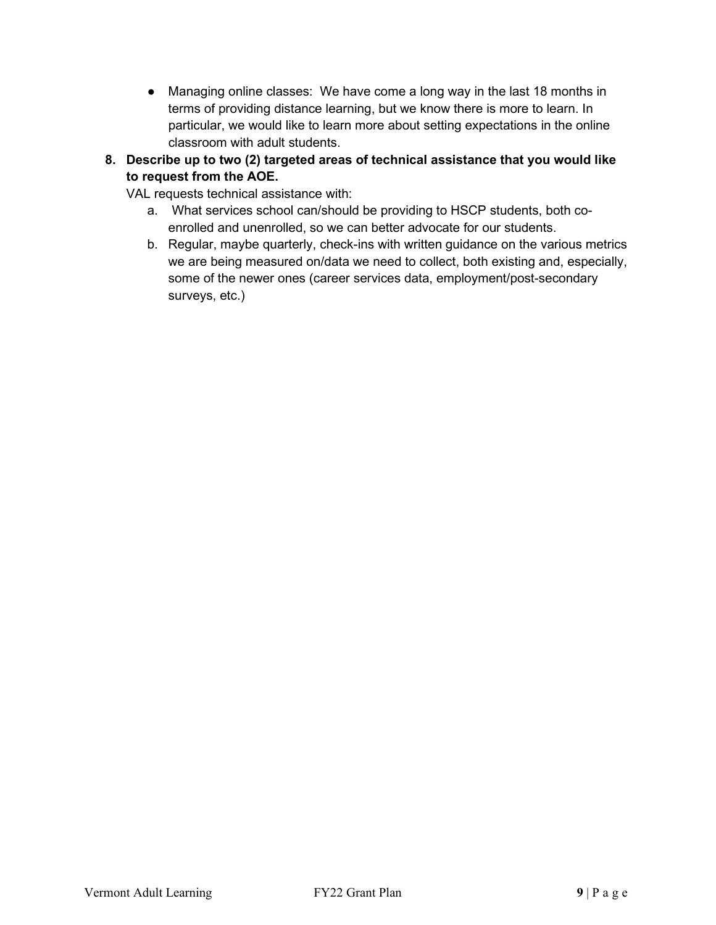- Managing online classes: We have come a long way in the last 18 months in terms of providing distance learning, but we know there is more to learn. In particular, we would like to learn more about setting expectations in the online classroom with adult students.
- **8. Describe up to two (2) targeted areas of technical assistance that you would like to request from the AOE.**

VAL requests technical assistance with:

- a. What services school can/should be providing to HSCP students, both coenrolled and unenrolled, so we can better advocate for our students.
- b. Regular, maybe quarterly, check-ins with written guidance on the various metrics we are being measured on/data we need to collect, both existing and, especially, some of the newer ones (career services data, employment/post-secondary surveys, etc.)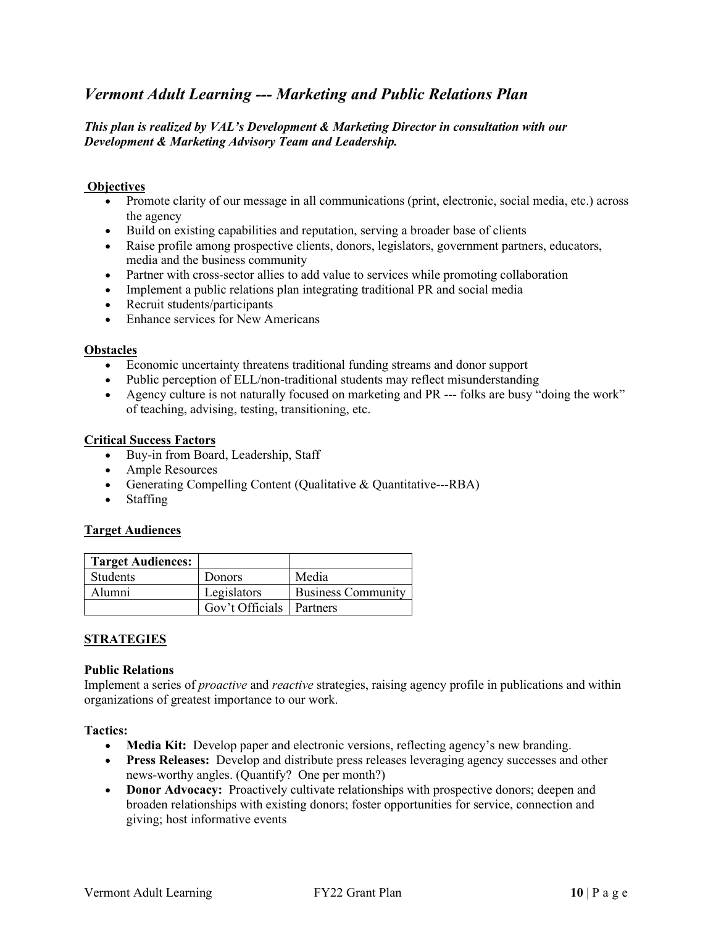# *Vermont Adult Learning --- Marketing and Public Relations Plan*

## *This plan is realized by VAL's Development & Marketing Director in consultation with our Development & Marketing Advisory Team and Leadership.*

### **Objectives**

- Promote clarity of our message in all communications (print, electronic, social media, etc.) across the agency
- Build on existing capabilities and reputation, serving a broader base of clients
- Raise profile among prospective clients, donors, legislators, government partners, educators, media and the business community
- Partner with cross-sector allies to add value to services while promoting collaboration
- Implement a public relations plan integrating traditional PR and social media
- Recruit students/participants
- Enhance services for New Americans

#### **Obstacles**

- Economic uncertainty threatens traditional funding streams and donor support
- Public perception of ELL/non-traditional students may reflect misunderstanding
- Agency culture is not naturally focused on marketing and PR --- folks are busy "doing the work" of teaching, advising, testing, transitioning, etc.

### **Critical Success Factors**

- Buy-in from Board, Leadership, Staff
- Ample Resources
- Generating Compelling Content (Qualitative & Quantitative---RBA)
- Staffing

### **Target Audiences**

| <b>Target Audiences:</b> |                            |                           |
|--------------------------|----------------------------|---------------------------|
| <b>Students</b>          | <b>Donors</b>              | Media                     |
| Alumni                   | Legislators                | <b>Business Community</b> |
|                          | Gov't Officials   Partners |                           |

## **STRATEGIES**

#### **Public Relations**

Implement a series of *proactive* and *reactive* strategies, raising agency profile in publications and within organizations of greatest importance to our work.

#### **Tactics:**

- **Media Kit:** Develop paper and electronic versions, reflecting agency's new branding.
- **Press Releases:** Develop and distribute press releases leveraging agency successes and other news-worthy angles. (Quantify? One per month?)
- **Donor Advocacy:** Proactively cultivate relationships with prospective donors; deepen and broaden relationships with existing donors; foster opportunities for service, connection and giving; host informative events